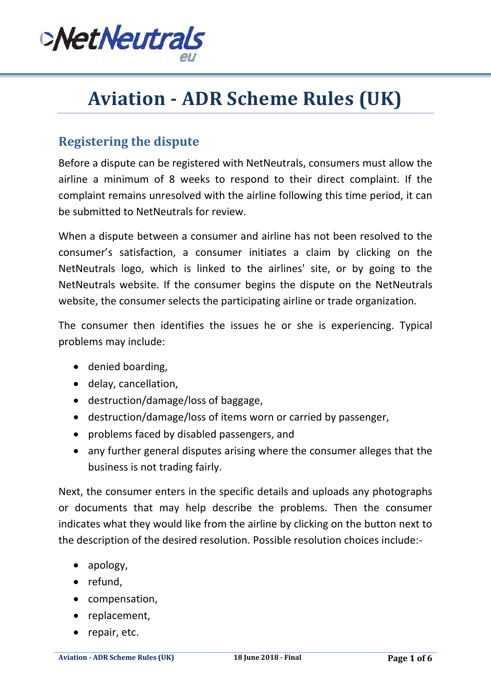

# **Aviation - ADR Scheme Rules (UK)**

## **Registering the dispute**

Before a dispute can be registered with NetNeutrals, consumers must allow the airline a minimum of 8 weeks to respond to their direct complaint. If the complaint remains unresolved with the airline following this time period, it can be submitted to NetNeutrals for review.

When a dispute between a consumer and airline has not been resolved to the consumer's satisfaction, a consumer initiates a claim by clicking on the NetNeutrals logo, which is linked to the airlines' site, or by going to the NetNeutrals website. If the consumer begins the dispute on the NetNeutrals website, the consumer selects the participating airline or trade organization.

The consumer then identifies the issues he or she is experiencing. Typical problems may include:

- denied boarding,
- delay, cancellation,
- destruction/damage/loss of baggage,
- destruction/damage/loss of items worn or carried by passenger,
- problems faced by disabled passengers, and
- any further general disputes arising where the consumer alleges that the business is not trading fairly.

Next, the consumer enters in the specific details and uploads any photographs or documents that may help describe the problems. Then the consumer indicates what they would like from the airline by clicking on the button next to the description of the desired resolution. Possible resolution choices include:-

- apology,
- refund,
- compensation,
- replacement,
- repair, etc.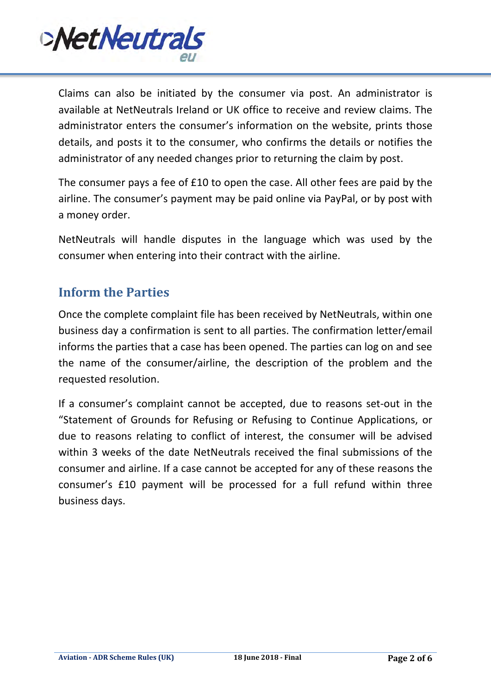

Claims can also be initiated by the consumer via post. An administrator is available at NetNeutrals Ireland or UK office to receive and review claims. The administrator enters the consumer's information on the website, prints those details, and posts it to the consumer, who confirms the details or notifies the administrator of any needed changes prior to returning the claim by post.

The consumer pays a fee of £10 to open the case. All other fees are paid by the airline. The consumer's payment may be paid online via PayPal, or by post with a money order.

NetNeutrals will handle disputes in the language which was used by the consumer when entering into their contract with the airline.

## **Inform the Parties**

Once the complete complaint file has been received by NetNeutrals, within one business day a confirmation is sent to all parties. The confirmation letter/email informs the parties that a case has been opened. The parties can log on and see the name of the consumer/airline, the description of the problem and the requested resolution.

If a consumer's complaint cannot be accepted, due to reasons set-out in the "Statement of Grounds for Refusing or Refusing to Continue Applications, or due to reasons relating to conflict of interest, the consumer will be advised within 3 weeks of the date NetNeutrals received the final submissions of the consumer and airline. If a case cannot be accepted for any of these reasons the consumer's £10 payment will be processed for a full refund within three business days.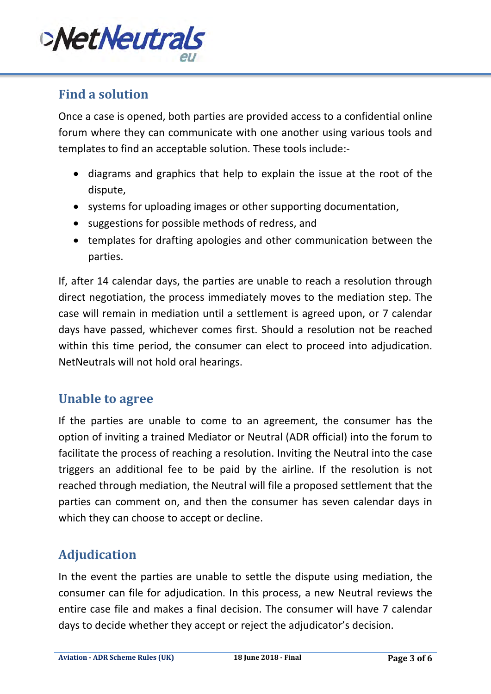

# **Find a solution**

Once a case is opened, both parties are provided access to a confidential online forum where they can communicate with one another using various tools and templates to find an acceptable solution. These tools include:-

- diagrams and graphics that help to explain the issue at the root of the dispute,
- systems for uploading images or other supporting documentation,
- suggestions for possible methods of redress, and
- templates for drafting apologies and other communication between the parties.

If, after 14 calendar days, the parties are unable to reach a resolution through direct negotiation, the process immediately moves to the mediation step. The case will remain in mediation until a settlement is agreed upon, or 7 calendar days have passed, whichever comes first. Should a resolution not be reached within this time period, the consumer can elect to proceed into adjudication. NetNeutrals will not hold oral hearings.

#### **Unable to agree**

If the parties are unable to come to an agreement, the consumer has the option of inviting a trained Mediator or Neutral (ADR official) into the forum to facilitate the process of reaching a resolution. Inviting the Neutral into the case triggers an additional fee to be paid by the airline. If the resolution is not reached through mediation, the Neutral will file a proposed settlement that the parties can comment on, and then the consumer has seven calendar days in which they can choose to accept or decline.

## **Adjudication**

In the event the parties are unable to settle the dispute using mediation, the consumer can file for adjudication. In this process, a new Neutral reviews the entire case file and makes a final decision. The consumer will have 7 calendar days to decide whether they accept or reject the adjudicator's decision.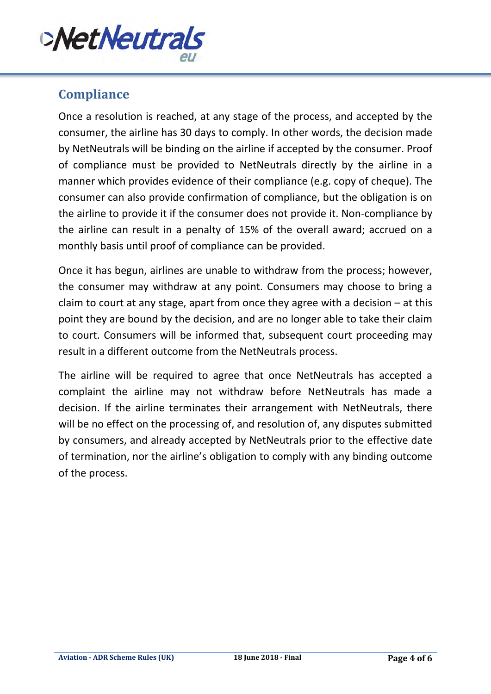

## **Compliance**

Once a resolution is reached, at any stage of the process, and accepted by the consumer, the airline has 30 days to comply. In other words, the decision made by NetNeutrals will be binding on the airline if accepted by the consumer. Proof of compliance must be provided to NetNeutrals directly by the airline in a manner which provides evidence of their compliance (e.g. copy of cheque). The consumer can also provide confirmation of compliance, but the obligation is on the airline to provide it if the consumer does not provide it. Non-compliance by the airline can result in a penalty of 15% of the overall award; accrued on a monthly basis until proof of compliance can be provided.

Once it has begun, airlines are unable to withdraw from the process; however, the consumer may withdraw at any point. Consumers may choose to bring a claim to court at any stage, apart from once they agree with a decision  $-$  at this point they are bound by the decision, and are no longer able to take their claim to court. Consumers will be informed that, subsequent court proceeding may result in a different outcome from the NetNeutrals process.

The airline will be required to agree that once NetNeutrals has accepted a complaint the airline may not withdraw before NetNeutrals has made a decision. If the airline terminates their arrangement with NetNeutrals, there will be no effect on the processing of, and resolution of, any disputes submitted by consumers, and already accepted by NetNeutrals prior to the effective date of termination, nor the airline's obligation to comply with any binding outcome of the process.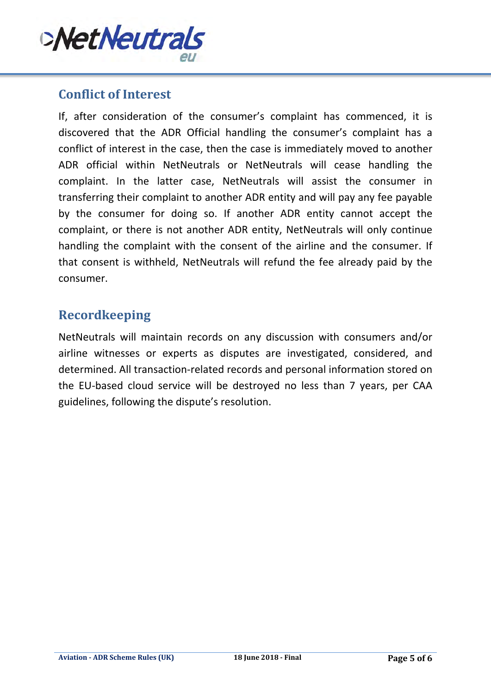

#### **Conflict of Interest**

If, after consideration of the consumer's complaint has commenced, it is discovered that the ADR Official handling the consumer's complaint has a conflict of interest in the case, then the case is immediately moved to another ADR official within NetNeutrals or NetNeutrals will cease handling the complaint. In the latter case, NetNeutrals will assist the consumer in transferring their complaint to another ADR entity and will pay any fee payable by the consumer for doing so. If another ADR entity cannot accept the complaint, or there is not another ADR entity, NetNeutrals will only continue handling the complaint with the consent of the airline and the consumer. If that consent is withheld, NetNeutrals will refund the fee already paid by the consumer.

## **Recordkeeping**

NetNeutrals will maintain records on any discussion with consumers and/or airline witnesses or experts as disputes are investigated, considered, and determined. All transaction-related records and personal information stored on the EU-based cloud service will be destroyed no less than 7 years, per CAA guidelines, following the dispute's resolution.